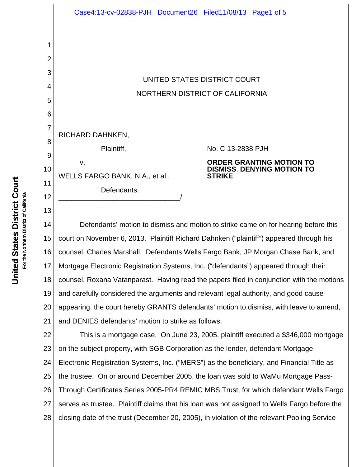

14 15 16 17 18 19 20 21 Mortgage Electronic Registration Systems, Inc. ("defendants") appeared through their counsel, Roxana Vatanparast. Having read the papers filed in conjunction with the motions and carefully considered the arguments and relevant legal authority, and good cause appearing, the court hereby GRANTS defendants' motion to dismiss, with leave to amend, and DENIES defendants' motion to strike as follows.

22 23 24 25 26 27 28 This is a mortgage case. On June 23, 2005, plaintiff executed a \$346,000 mortgage on the subject property, with SGB Corporation as the lender, defendant Mortgage Electronic Registration Systems, Inc. ("MERS") as the beneficiary, and Financial Title as the trustee. On or around December 2005, the loan was sold to WaMu Mortgage Pass-Through Certificates Series 2005-PR4 REMIC MBS Trust, for which defendant Wells Fargo serves as trustee. Plaintiff claims that his loan was not assigned to Wells Fargo before the closing date of the trust (December 20, 2005), in violation of the relevant Pooling Service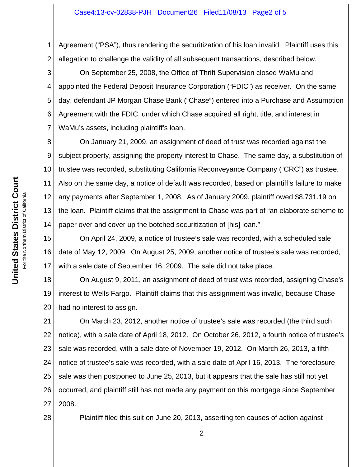1 2 Agreement ("PSA"), thus rendering the securitization of his loan invalid. Plaintiff uses this allegation to challenge the validity of all subsequent transactions, described below.

3 4 5 6 7 On September 25, 2008, the Office of Thrift Supervision closed WaMu and appointed the Federal Deposit Insurance Corporation ("FDIC") as receiver. On the same day, defendant JP Morgan Chase Bank ("Chase") entered into a Purchase and Assumption Agreement with the FDIC, under which Chase acquired all right, title, and interest in WaMu's assets, including plaintiff's loan.

8 9 10 11 12 13 14 On January 21, 2009, an assignment of deed of trust was recorded against the subject property, assigning the property interest to Chase. The same day, a substitution of trustee was recorded, substituting California Reconveyance Company ("CRC") as trustee. Also on the same day, a notice of default was recorded, based on plaintiff's failure to make any payments after September 1, 2008. As of January 2009, plaintiff owed \$8,731.19 on the loan. Plaintiff claims that the assignment to Chase was part of "an elaborate scheme to paper over and cover up the botched securitization of [his] loan."

15 16 17 On April 24, 2009, a notice of trustee's sale was recorded, with a scheduled sale date of May 12, 2009. On August 25, 2009, another notice of trustee's sale was recorded, with a sale date of September 16, 2009. The sale did not take place.

18 19 20 On August 9, 2011, an assignment of deed of trust was recorded, assigning Chase's interest to Wells Fargo. Plaintiff claims that this assignment was invalid, because Chase had no interest to assign.

21 22 23 24 25 26 27 On March 23, 2012, another notice of trustee's sale was recorded (the third such notice), with a sale date of April 18, 2012. On October 26, 2012, a fourth notice of trustee's sale was recorded, with a sale date of November 19, 2012. On March 26, 2013, a fifth notice of trustee's sale was recorded, with a sale date of April 16, 2013. The foreclosure sale was then postponed to June 25, 2013, but it appears that the sale has still not yet occurred, and plaintiff still has not made any payment on this mortgage since September 2008.

Plaintiff filed this suit on June 20, 2013, asserting ten causes of action against

28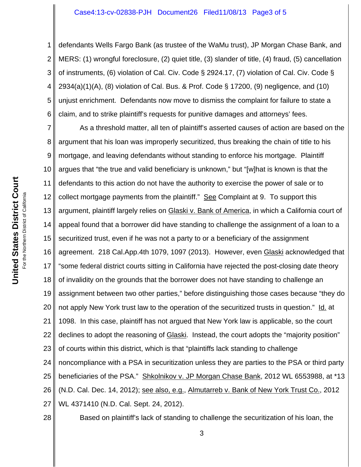## Case4:13-cv-02838-PJH Document26 Filed11/08/13 Page3 of 5

1 2 3 4 5 6 defendants Wells Fargo Bank (as trustee of the WaMu trust), JP Morgan Chase Bank, and MERS: (1) wrongful foreclosure, (2) quiet title, (3) slander of title, (4) fraud, (5) cancellation of instruments, (6) violation of Cal. Civ. Code § 2924.17, (7) violation of Cal. Civ. Code §  $2934(a)(1)(A)$ , (8) violation of Cal. Bus. & Prof. Code § 17200, (9) negligence, and (10) unjust enrichment. Defendants now move to dismiss the complaint for failure to state a claim, and to strike plaintiff's requests for punitive damages and attorneys' fees.

7 8 9 10 11 12 13 14 15 16 17 18 19 20 21 22 23 24 25 26 27 As a threshold matter, all ten of plaintiff's asserted causes of action are based on the argument that his loan was improperly securitized, thus breaking the chain of title to his mortgage, and leaving defendants without standing to enforce his mortgage. Plaintiff argues that "the true and valid beneficiary is unknown," but "[w]hat is known is that the defendants to this action do not have the authority to exercise the power of sale or to collect mortgage payments from the plaintiff." See Complaint at 9. To support this argument, plaintiff largely relies on Glaski v. Bank of America, in which a California court of appeal found that a borrower did have standing to challenge the assignment of a loan to a securitized trust, even if he was not a party to or a beneficiary of the assignment agreement. 218 Cal.App.4th 1079, 1097 (2013). However, even Glaski acknowledged that "some federal district courts sitting in California have rejected the post-closing date theory of invalidity on the grounds that the borrower does not have standing to challenge an assignment between two other parties," before distinguishing those cases because "they do not apply New York trust law to the operation of the securitized trusts in question." Id. at 1098. In this case, plaintiff has not argued that New York law is applicable, so the court declines to adopt the reasoning of Glaski. Instead, the court adopts the "majority position" of courts within this district, which is that "plaintiffs lack standing to challenge noncompliance with a PSA in securitization unless they are parties to the PSA or third party beneficiaries of the PSA." Shkolnikov v. JP Morgan Chase Bank, 2012 WL 6553988, at \*13 (N.D. Cal. Dec. 14, 2012); see also, e.g., Almutarreb v. Bank of New York Trust Co., 2012 WL 4371410 (N.D. Cal. Sept. 24, 2012).

28

Based on plaintiff's lack of standing to challenge the securitization of his loan, the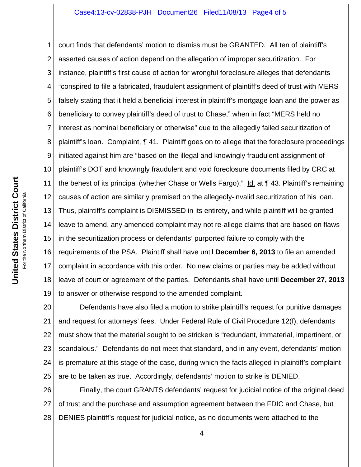## Case4:13-cv-02838-PJH Document26 Filed11/08/13 Page4 of 5

1 2 3 4 5 6 7 8 9 10 11 12 13 14 15 16 17 18 19 court finds that defendants' motion to dismiss must be GRANTED. All ten of plaintiff's asserted causes of action depend on the allegation of improper securitization. For instance, plaintiff's first cause of action for wrongful foreclosure alleges that defendants "conspired to file a fabricated, fraudulent assignment of plaintiff's deed of trust with MERS falsely stating that it held a beneficial interest in plaintiff's mortgage loan and the power as beneficiary to convey plaintiff's deed of trust to Chase," when in fact "MERS held no interest as nominal beneficiary or otherwise" due to the allegedly failed securitization of plaintiff's loan. Complaint, ¶ 41. Plaintiff goes on to allege that the foreclosure proceedings initiated against him are "based on the illegal and knowingly fraudulent assignment of plaintiff's DOT and knowingly fraudulent and void foreclosure documents filed by CRC at the behest of its principal (whether Chase or Wells Fargo)." Id. at ¶ 43. Plaintiff's remaining causes of action are similarly premised on the allegedly-invalid securitization of his loan. Thus, plaintiff's complaint is DISMISSED in its entirety, and while plaintiff will be granted leave to amend, any amended complaint may not re-allege claims that are based on flaws in the securitization process or defendants' purported failure to comply with the requirements of the PSA. Plaintiff shall have until **December 6, 2013** to file an amended complaint in accordance with this order. No new claims or parties may be added without leave of court or agreement of the parties. Defendants shall have until **December 27, 2013** to answer or otherwise respond to the amended complaint.

20 21 22 23 24 25 Defendants have also filed a motion to strike plaintiff's request for punitive damages and request for attorneys' fees. Under Federal Rule of Civil Procedure 12(f), defendants must show that the material sought to be stricken is "redundant, immaterial, impertinent, or scandalous." Defendants do not meet that standard, and in any event, defendants' motion is premature at this stage of the case, during which the facts alleged in plaintiff's complaint are to be taken as true. Accordingly, defendants' motion to strike is DENIED.

26 27 28 Finally, the court GRANTS defendants' request for judicial notice of the original deed of trust and the purchase and assumption agreement between the FDIC and Chase, but DENIES plaintiff's request for judicial notice, as no documents were attached to the

4